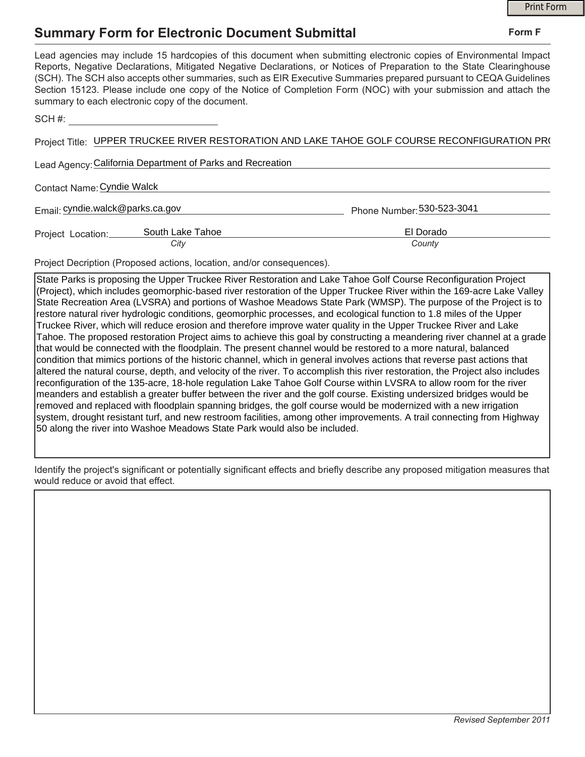## **Summary Form for Electronic Document Submittal**

|                                                                                                                                                                                                                                                                                                                                                                                                                                                                                                                                           | <b>Print Form</b>          |
|-------------------------------------------------------------------------------------------------------------------------------------------------------------------------------------------------------------------------------------------------------------------------------------------------------------------------------------------------------------------------------------------------------------------------------------------------------------------------------------------------------------------------------------------|----------------------------|
| <b>Summary Form for Electronic Document Submittal</b>                                                                                                                                                                                                                                                                                                                                                                                                                                                                                     | Form F                     |
| Lead agencies may include 15 hardcopies of this document when submitting electronic copies of Environmental Impact<br>Reports, Negative Declarations, Mitigated Negative Declarations, or Notices of Preparation to the State Clearinghouse<br>(SCH). The SCH also accepts other summaries, such as EIR Executive Summaries prepared pursuant to CEQA Guidelines<br>Section 15123. Please include one copy of the Notice of Completion Form (NOC) with your submission and attach the<br>summary to each electronic copy of the document. |                            |
| SCH #: __________________________________                                                                                                                                                                                                                                                                                                                                                                                                                                                                                                 |                            |
| Project Title: UPPER TRUCKEE RIVER RESTORATION AND LAKE TAHOE GOLF COURSE RECONFIGURATION PR(                                                                                                                                                                                                                                                                                                                                                                                                                                             |                            |
| Lead Agency: California Department of Parks and Recreation                                                                                                                                                                                                                                                                                                                                                                                                                                                                                |                            |
| Contact Name: Cyndie Walck                                                                                                                                                                                                                                                                                                                                                                                                                                                                                                                |                            |
| Email: cyndie.walck@parks.ca.gov                                                                                                                                                                                                                                                                                                                                                                                                                                                                                                          | Phone Number: 530-523-3041 |
| Project Location: South Lake Tahoe<br>City                                                                                                                                                                                                                                                                                                                                                                                                                                                                                                | El Dorado<br>County        |
| Project Decription (Proposed actions, location, and/or consequences).                                                                                                                                                                                                                                                                                                                                                                                                                                                                     |                            |

State Parks is proposing the Upper Truckee River Restoration and Lake Tahoe Golf Course Reconfiguration Project (Project), which includes geomorphic-based river restoration of the Upper Truckee River within the 169-acre Lake Valley State Recreation Area (LVSRA) and portions of Washoe Meadows State Park (WMSP). The purpose of the Project is to restore natural river hydrologic conditions, geomorphic processes, and ecological function to 1.8 miles of the Upper Truckee River, which will reduce erosion and therefore improve water quality in the Upper Truckee River and Lake Tahoe. The proposed restoration Project aims to achieve this goal by constructing a meandering river channel at a grade that would be connected with the floodplain. The present channel would be restored to a more natural, balanced condition that mimics portions of the historic channel, which in general involves actions that reverse past actions that altered the natural course, depth, and velocity of the river. To accomplish this river restoration, the Project also includes reconfiguration of the 135-acre, 18-hole regulation Lake Tahoe Golf Course within LVSRA to allow room for the river meanders and establish a greater buffer between the river and the golf course. Existing undersized bridges would be removed and replaced with floodplain spanning bridges, the golf course would be modernized with a new irrigation system, drought resistant turf, and new restroom facilities, among other improvements. A trail connecting from Highway 50 along the river into Washoe Meadows State Park would also be included.

Identify the project's significant or potentially significant effects and briefly describe any proposed mitigation measures that would reduce or avoid that effect.

## **Form F**